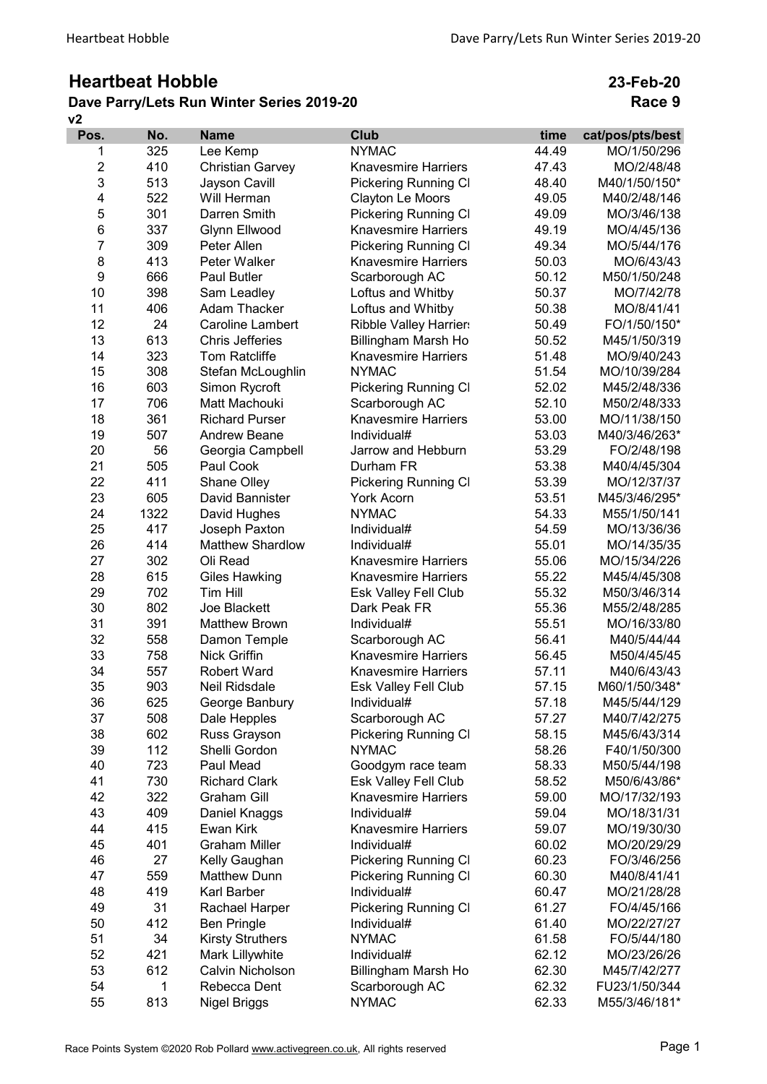## Heartbeat Hobble

## v2 Dave Parry/Lets Run Winter Series 2019-20

23-Feb-20 Race 9

| Pos.           | No.  | <b>Name</b>             | <b>Club</b>                    | time  | cat/pos/pts/best |
|----------------|------|-------------------------|--------------------------------|-------|------------------|
| 1              | 325  | Lee Kemp                | <b>NYMAC</b>                   | 44.49 | MO/1/50/296      |
| $\overline{2}$ | 410  | <b>Christian Garvey</b> | <b>Knavesmire Harriers</b>     | 47.43 | MO/2/48/48       |
| 3              | 513  | Jayson Cavill           | <b>Pickering Running CI</b>    | 48.40 | M40/1/50/150*    |
| 4              | 522  | Will Herman             | Clayton Le Moors               | 49.05 | M40/2/48/146     |
| 5              | 301  | Darren Smith            | <b>Pickering Running CI</b>    | 49.09 | MO/3/46/138      |
| 6              | 337  | Glynn Ellwood           | <b>Knavesmire Harriers</b>     | 49.19 | MO/4/45/136      |
| $\overline{7}$ | 309  | Peter Allen             | <b>Pickering Running CI</b>    | 49.34 | MO/5/44/176      |
| 8              | 413  | Peter Walker            | <b>Knavesmire Harriers</b>     | 50.03 | MO/6/43/43       |
| 9              | 666  | <b>Paul Butler</b>      | Scarborough AC                 | 50.12 | M50/1/50/248     |
| 10             | 398  | Sam Leadley             | Loftus and Whitby              | 50.37 | MO/7/42/78       |
| 11             | 406  | <b>Adam Thacker</b>     | Loftus and Whitby              | 50.38 | MO/8/41/41       |
| 12             | 24   | <b>Caroline Lambert</b> | <b>Ribble Valley Harriers</b>  | 50.49 | FO/1/50/150*     |
| 13             | 613  | <b>Chris Jefferies</b>  | Billingham Marsh Ho            | 50.52 | M45/1/50/319     |
| 14             | 323  | <b>Tom Ratcliffe</b>    | <b>Knavesmire Harriers</b>     | 51.48 | MO/9/40/243      |
| 15             | 308  | Stefan McLoughlin       | <b>NYMAC</b>                   | 51.54 | MO/10/39/284     |
| 16             | 603  | Simon Rycroft           | <b>Pickering Running CI</b>    | 52.02 | M45/2/48/336     |
| 17             | 706  | Matt Machouki           | Scarborough AC                 | 52.10 | M50/2/48/333     |
| 18             | 361  | <b>Richard Purser</b>   | <b>Knavesmire Harriers</b>     | 53.00 | MO/11/38/150     |
| 19             | 507  | <b>Andrew Beane</b>     | Individual#                    | 53.03 | M40/3/46/263*    |
| 20             | 56   | Georgia Campbell        | Jarrow and Hebburn             | 53.29 | FO/2/48/198      |
| 21             | 505  | Paul Cook               | Durham FR                      | 53.38 | M40/4/45/304     |
| 22             | 411  | Shane Olley             | Pickering Running Cl           | 53.39 | MO/12/37/37      |
| 23             | 605  | David Bannister         | <b>York Acorn</b>              | 53.51 | M45/3/46/295*    |
| 24             | 1322 | David Hughes            | <b>NYMAC</b>                   | 54.33 | M55/1/50/141     |
| 25             | 417  | Joseph Paxton           | Individual#                    | 54.59 | MO/13/36/36      |
| 26             | 414  | <b>Matthew Shardlow</b> | Individual#                    | 55.01 | MO/14/35/35      |
| 27             | 302  | Oli Read                | <b>Knavesmire Harriers</b>     | 55.06 | MO/15/34/226     |
| 28             | 615  | <b>Giles Hawking</b>    | <b>Knavesmire Harriers</b>     | 55.22 | M45/4/45/308     |
| 29             | 702  | Tim Hill                | Esk Valley Fell Club           | 55.32 | M50/3/46/314     |
| 30             | 802  | Joe Blackett            | Dark Peak FR                   | 55.36 | M55/2/48/285     |
| 31             | 391  | <b>Matthew Brown</b>    | Individual#                    | 55.51 | MO/16/33/80      |
| 32             | 558  | Damon Temple            | Scarborough AC                 | 56.41 | M40/5/44/44      |
| 33             | 758  | <b>Nick Griffin</b>     | <b>Knavesmire Harriers</b>     | 56.45 | M50/4/45/45      |
| 34             | 557  | <b>Robert Ward</b>      | <b>Knavesmire Harriers</b>     | 57.11 | M40/6/43/43      |
| 35             | 903  | Neil Ridsdale           | Esk Valley Fell Club           | 57.15 | M60/1/50/348*    |
| 36             | 625  | George Banbury          | Individual#                    | 57.18 | M45/5/44/129     |
| 37             | 508  | Dale Hepples            | Scarborough AC                 | 57.27 | M40/7/42/275     |
| 38             | 602  | Russ Grayson            | <b>Pickering Running CI</b>    | 58.15 | M45/6/43/314     |
| 39             | 112  | Shelli Gordon           | <b>NYMAC</b>                   | 58.26 | F40/1/50/300     |
| 40             | 723  | Paul Mead               | Goodgym race team              | 58.33 | M50/5/44/198     |
| 41             | 730  | <b>Richard Clark</b>    | Esk Valley Fell Club           | 58.52 | M50/6/43/86*     |
| 42             | 322  | <b>Graham Gill</b>      | <b>Knavesmire Harriers</b>     | 59.00 | MO/17/32/193     |
| 43             | 409  | Daniel Knaggs           | Individual#                    | 59.04 | MO/18/31/31      |
| 44             | 415  | Ewan Kirk               | <b>Knavesmire Harriers</b>     | 59.07 | MO/19/30/30      |
| 45             | 401  | <b>Graham Miller</b>    | Individual#                    | 60.02 | MO/20/29/29      |
| 46             | 27   | Kelly Gaughan           | <b>Pickering Running CI</b>    | 60.23 | FO/3/46/256      |
| 47             | 559  | <b>Matthew Dunn</b>     | Pickering Running Cl           | 60.30 | M40/8/41/41      |
| 48             | 419  | Karl Barber             | Individual#                    | 60.47 | MO/21/28/28      |
| 49             | 31   | Rachael Harper          | Pickering Running Cl           | 61.27 | FO/4/45/166      |
| 50             | 412  | <b>Ben Pringle</b>      | Individual#                    | 61.40 | MO/22/27/27      |
| 51             | 34   | <b>Kirsty Struthers</b> | <b>NYMAC</b>                   | 61.58 | FO/5/44/180      |
| 52             | 421  | Mark Lillywhite         | Individual#                    | 62.12 | MO/23/26/26      |
| 53             | 612  | Calvin Nicholson        |                                | 62.30 | M45/7/42/277     |
| 54             | 1    | Rebecca Dent            | Billingham Marsh Ho            | 62.32 | FU23/1/50/344    |
| 55             | 813  |                         | Scarborough AC<br><b>NYMAC</b> | 62.33 | M55/3/46/181*    |
|                |      | <b>Nigel Briggs</b>     |                                |       |                  |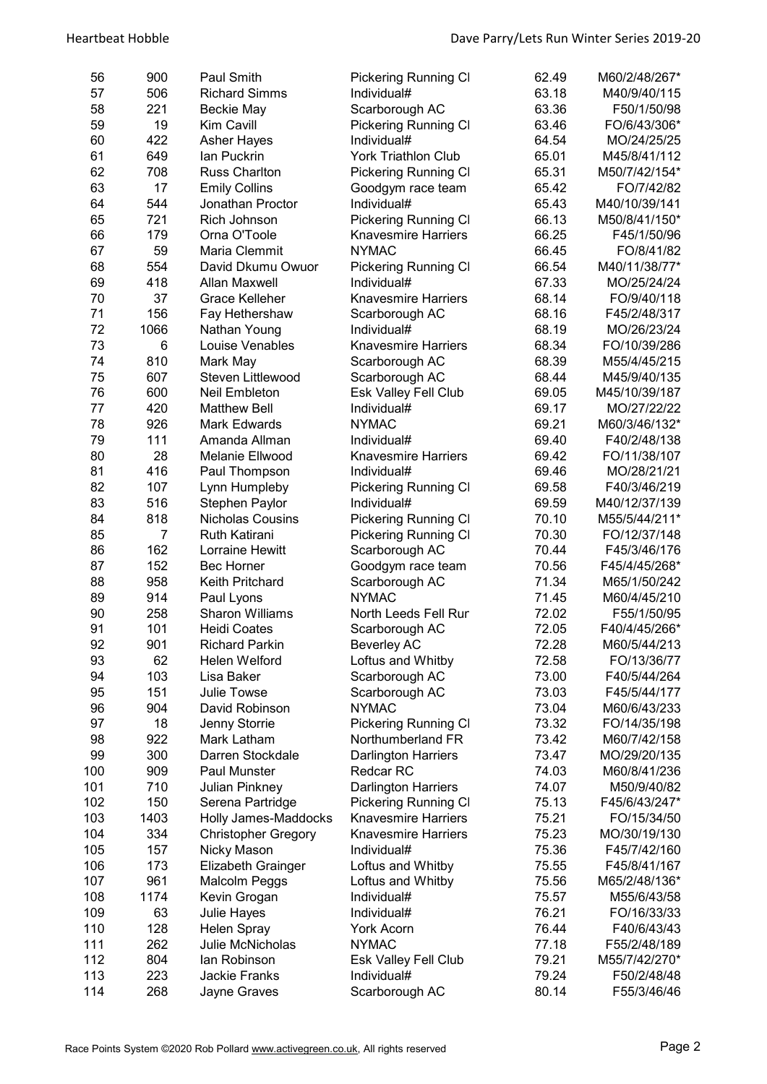| 56       | 900      | Paul Smith                           | <b>Pickering Running CI</b>    | 62.49          | M60/2/48/267*                 |
|----------|----------|--------------------------------------|--------------------------------|----------------|-------------------------------|
| 57       | 506      | <b>Richard Simms</b>                 | Individual#                    | 63.18          | M40/9/40/115                  |
| 58       | 221      | <b>Beckie May</b>                    | Scarborough AC                 | 63.36          | F50/1/50/98                   |
| 59       | 19       | Kim Cavill                           | <b>Pickering Running CI</b>    | 63.46          | FO/6/43/306*                  |
| 60       | 422      | <b>Asher Hayes</b>                   | Individual#                    | 64.54          | MO/24/25/25                   |
| 61       | 649      | lan Puckrin                          | <b>York Triathlon Club</b>     | 65.01          | M45/8/41/112                  |
| 62       | 708      | <b>Russ Charlton</b>                 | <b>Pickering Running CI</b>    | 65.31          | M50/7/42/154*                 |
| 63       | 17       | <b>Emily Collins</b>                 | Goodgym race team              | 65.42          | FO/7/42/82                    |
| 64       | 544      | Jonathan Proctor                     | Individual#                    | 65.43          | M40/10/39/141                 |
| 65       | 721      | Rich Johnson                         | <b>Pickering Running CI</b>    | 66.13          | M50/8/41/150*                 |
| 66       | 179      | Orna O'Toole                         | <b>Knavesmire Harriers</b>     | 66.25          | F45/1/50/96                   |
| 67       | 59       | Maria Clemmit                        | <b>NYMAC</b>                   | 66.45          | FO/8/41/82                    |
| 68       | 554      | David Dkumu Owuor                    | <b>Pickering Running CI</b>    | 66.54          | M40/11/38/77*                 |
| 69       | 418      | <b>Allan Maxwell</b>                 | Individual#                    | 67.33          | MO/25/24/24                   |
| 70       | 37       | <b>Grace Kelleher</b>                | <b>Knavesmire Harriers</b>     | 68.14          | FO/9/40/118                   |
| 71       | 156      | Fay Hethershaw                       | Scarborough AC                 | 68.16          | F45/2/48/317                  |
| 72       | 1066     | Nathan Young                         | Individual#                    | 68.19          | MO/26/23/24                   |
| 73       | 6        | Louise Venables                      | <b>Knavesmire Harriers</b>     | 68.34          | FO/10/39/286                  |
| 74       | 810      | Mark May                             |                                | 68.39          | M55/4/45/215                  |
|          | 607      | Steven Littlewood                    | Scarborough AC                 | 68.44          | M45/9/40/135                  |
| 75<br>76 | 600      |                                      | Scarborough AC                 |                |                               |
|          |          | Neil Embleton                        | <b>Esk Valley Fell Club</b>    | 69.05          | M45/10/39/187                 |
| 77       | 420      | <b>Matthew Bell</b>                  | Individual#<br><b>NYMAC</b>    | 69.17          | MO/27/22/22                   |
| 78       | 926      | <b>Mark Edwards</b>                  |                                | 69.21<br>69.40 | M60/3/46/132*                 |
| 79       | 111      | Amanda Allman                        | Individual#                    |                | F40/2/48/138                  |
| 80       | 28       | Melanie Ellwood                      | <b>Knavesmire Harriers</b>     | 69.42          | FO/11/38/107                  |
| 81       | 416      | Paul Thompson                        | Individual#                    | 69.46          | MO/28/21/21                   |
| 82       | 107      | Lynn Humpleby                        | Pickering Running Cl           | 69.58          | F40/3/46/219                  |
| 83       | 516      | Stephen Paylor                       | Individual#                    | 69.59          | M40/12/37/139                 |
| 84<br>85 | 818<br>7 | <b>Nicholas Cousins</b>              | <b>Pickering Running CI</b>    | 70.10<br>70.30 | M55/5/44/211*                 |
| 86       | 162      | <b>Ruth Katirani</b>                 | <b>Pickering Running CI</b>    | 70.44          | FO/12/37/148                  |
| 87       | 152      | Lorraine Hewitt<br><b>Bec Horner</b> | Scarborough AC                 | 70.56          | F45/3/46/176                  |
| 88       | 958      | Keith Pritchard                      | Goodgym race team              | 71.34          | F45/4/45/268*<br>M65/1/50/242 |
| 89       | 914      | Paul Lyons                           | Scarborough AC<br><b>NYMAC</b> | 71.45          | M60/4/45/210                  |
| 90       | 258      | <b>Sharon Williams</b>               | North Leeds Fell Run           | 72.02          | F55/1/50/95                   |
| 91       | 101      | <b>Heidi Coates</b>                  | Scarborough AC                 | 72.05          | F40/4/45/266*                 |
| 92       | 901      | <b>Richard Parkin</b>                | <b>Beverley AC</b>             | 72.28          | M60/5/44/213                  |
| 93       | 62       | Helen Welford                        | Loftus and Whitby              | 72.58          | FO/13/36/77                   |
| 94       | 103      | Lisa Baker                           | Scarborough AC                 | 73.00          | F40/5/44/264                  |
| 95       | 151      | Julie Towse                          | Scarborough AC                 | 73.03          | F45/5/44/177                  |
| 96       | 904      | David Robinson                       | <b>NYMAC</b>                   | 73.04          | M60/6/43/233                  |
| 97       | 18       | Jenny Storrie                        | <b>Pickering Running CI</b>    | 73.32          | FO/14/35/198                  |
| 98       | 922      | Mark Latham                          | Northumberland FR              | 73.42          | M60/7/42/158                  |
| 99       | 300      | Darren Stockdale                     | <b>Darlington Harriers</b>     | 73.47          | MO/29/20/135                  |
| 100      | 909      | Paul Munster                         | Redcar RC                      | 74.03          | M60/8/41/236                  |
| 101      | 710      | Julian Pinkney                       | <b>Darlington Harriers</b>     | 74.07          | M50/9/40/82                   |
| 102      | 150      | Serena Partridge                     | Pickering Running Cl           | 75.13          | F45/6/43/247*                 |
| 103      | 1403     | Holly James-Maddocks                 | <b>Knavesmire Harriers</b>     | 75.21          | FO/15/34/50                   |
| 104      | 334      | <b>Christopher Gregory</b>           | <b>Knavesmire Harriers</b>     | 75.23          | MO/30/19/130                  |
| 105      | 157      | Nicky Mason                          | Individual#                    | 75.36          | F45/7/42/160                  |
| 106      | 173      | <b>Elizabeth Grainger</b>            | Loftus and Whitby              | 75.55          | F45/8/41/167                  |
| 107      | 961      | Malcolm Peggs                        | Loftus and Whitby              | 75.56          | M65/2/48/136*                 |
| 108      | 1174     | Kevin Grogan                         | Individual#                    | 75.57          | M55/6/43/58                   |
| 109      | 63       | Julie Hayes                          | Individual#                    | 76.21          | FO/16/33/33                   |
| 110      | 128      | <b>Helen Spray</b>                   | <b>York Acorn</b>              | 76.44          | F40/6/43/43                   |
| 111      | 262      | Julie McNicholas                     | <b>NYMAC</b>                   | 77.18          | F55/2/48/189                  |
| 112      | 804      | lan Robinson                         | <b>Esk Valley Fell Club</b>    | 79.21          | M55/7/42/270*                 |
| 113      | 223      | Jackie Franks                        | Individual#                    | 79.24          | F50/2/48/48                   |
| 114      | 268      | Jayne Graves                         | Scarborough AC                 | 80.14          | F55/3/46/46                   |
|          |          |                                      |                                |                |                               |